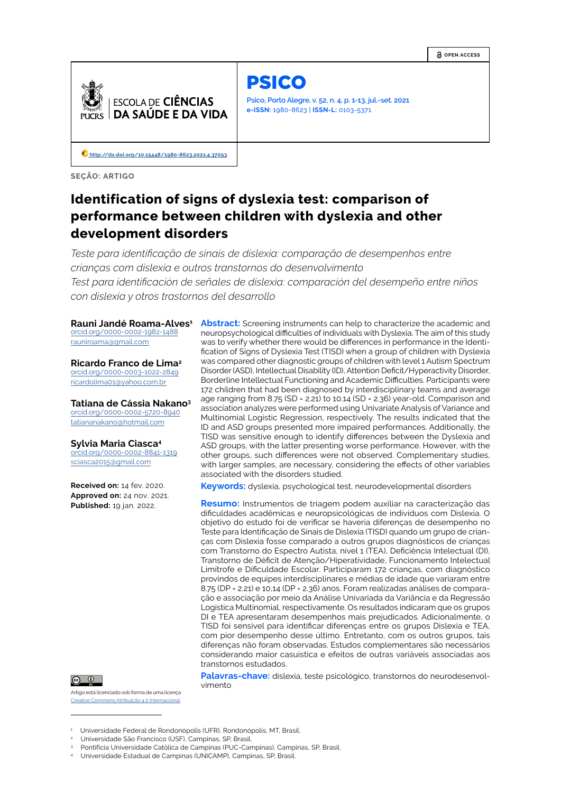**OPEN ACCESS**



PSICO

**Psico, Porto Alegre, v. 52, n. 4, p. 1-13, jul.-set. 2021 e-ISSN:** 1980-8623 | **ISSN-L:** 0103-5371

 **[http://d](http://dx.doi.org/10.15448/1980-8623.2021.4.37093)x.doi.org/10.15448/1980-8623.2021.4.37093**

**SEÇÃO: ARTIGO**

# **Identification of signs of dyslexia test: comparison of performance between children with dyslexia and other development disorders**

*Teste para identificação de sinais de dislexia: comparação de desempenhos entre crianças com dislexia e outros transtornos do desenvolvimento Test para identificación de señales de dislexia: comparación del desempeño entre niños con dislexia y otros trastornos del desarrollo*

**Rauni Jandé Roama-Alves 1**

[orcid.org/0](https://orcid.org/0000-0002-7417-499X)000-0002-1982-1488 rauniroama@gmail.com

**Ricardo Franco de Lima<sup>2</sup>** [orcid.org/0](https://orcid.org/0000-0002-7417-499X)000-0003-1022-2849 ricardolima01@yahoo.com.br

**Tatiana de Cássia Nakano<sup>3</sup>** orcid.org/0000-0002-5720-8940 tatiananakano@hotmail.com

# **Sylvia Maria Ciasca 4**

[orcid.org/0](https://orcid.org/0000-0002-7417-499X)000-0002-8841-1319 sciasca2015@gmail.com

**Received on:** 14 fev. 2020. **Approved on:** 24 nov. 2021. **Published:** 19 jan. 2022.



Artigo está licenciado sob forma de uma licença Creative Commons Atribuição 4.0 Internacional. **Abstract:** Screening instruments can help to characterize the academic and neuropsychological difficulties of individuals with Dyslexia. The aim of this study was to verify whether there would be differences in performance in the Identification of Signs of Dyslexia Test (TISD) when a group of children with Dyslexia was compared other diagnostic groups of children with level 1 Autism Spectrum Disorder (ASD), Intellectual Disability (ID), Attention Deficit/Hyperactivity Disorder, Borderline Intellectual Functioning and Academic Difficulties. Participants were 172 children that had been diagnosed by interdisciplinary teams and average age ranging from 8.75 (SD = 2.21) to 10.14 (SD = 2.36) year-old. Comparison and association analyzes were performed using Univariate Analysis of Variance and Multinomial Logistic Regression, respectively. The results indicated that the ID and ASD groups presented more impaired performances. Additionally, the TISD was sensitive enough to identify differences between the Dyslexia and ASD groups, with the latter presenting worse performance. However, with the other groups, such differences were not observed. Complementary studies, with larger samples, are necessary, considering the effects of other variables associated with the disorders studied.

**Keywords:** dyslexia, psychological test, neurodevelopmental disorders

**Resumo:** Instrumentos de triagem podem auxiliar na caracterização das dificuldades acadêmicas e neuropsicológicas de indivíduos com Dislexia. O objetivo do estudo foi de verificar se haveria diferenças de desempenho no Teste para Identificação de Sinais de Dislexia (TISD) quando um grupo de crianças com Dislexia fosse comparado a outros grupos diagnósticos de crianças com Transtorno do Espectro Autista, nível 1 (TEA), Deficiência Intelectual (DI), Transtorno de Déficit de Atenção/Hiperatividade, Funcionamento Intelectual Limítrofe e Dificuldade Escolar. Participaram 172 crianças, com diagnóstico provindos de equipes interdisciplinares e médias de idade que variaram entre 8.75 (DP = 2.21) e 10,14 (DP = 2.36) anos. Foram realizadas análises de comparação e associação por meio da Análise Univariada da Variância e da Regressão Logística Multinomial, respectivamente. Os resultados indicaram que os grupos DI e TEA apresentaram desempenhos mais prejudicados. Adicionalmente, o TISD foi sensível para identificar diferenças entre os grupos Dislexia e TEA, com pior desempenho desse último. Entretanto, com os outros grupos, tais diferenças não foram observadas. Estudos complementares são necessários considerando maior casuística e efeitos de outras variáveis associadas aos transtornos estudados.

**Palavras-chave:** dislexia, teste psicológico, transtornos do neurodesenvolvimento

4 Universidade Estadual de Campinas (UNICAMP), Campinas, SP, Brasil.

<sup>1</sup> Universidade Federal de Rondonópolis (UFR), Rondonópolis, MT, Brasil.

<sup>2</sup> Universidade São Francisco (USF), Campinas, SP, Brasil.

<sup>3</sup> Pontifícia Universidade Católica de Campinas (PUC-Campinas), Campinas, SP, Brasil.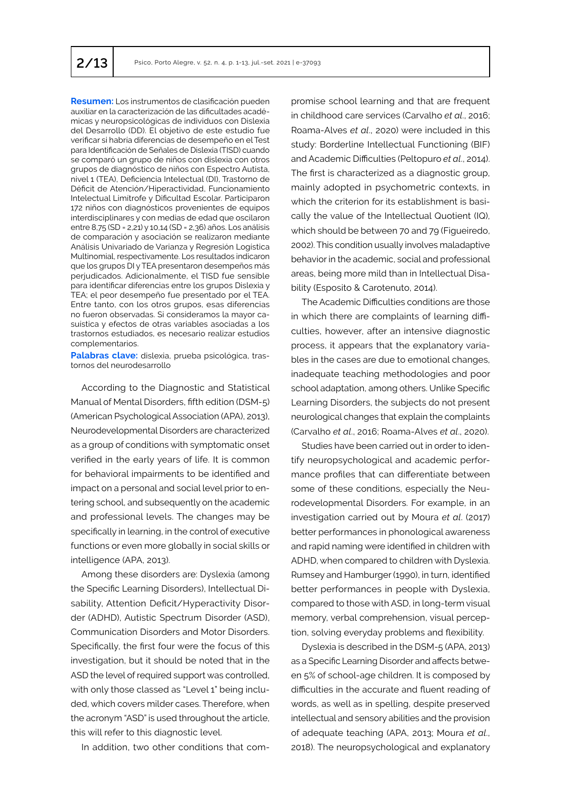**Resumen:** Los instrumentos de clasificación pueden auxiliar en la caracterización de las dificultades académicas y neuropsicológicas de individuos con Dislexia del Desarrollo (DD). El objetivo de este estudio fue verificar si habría diferencias de desempeño en el Test para Identificación de Señales de Dislexia (TISD) cuando se comparó un grupo de niños con dislexia con otros grupos de diagnóstico de niños con Espectro Autista, nivel 1 (TEA), Deficiencia Intelectual (DI), Trastorno de Déficit de Atención/Hiperactividad, Funcionamiento Intelectual Limítrofe y Dificultad Escolar. Participaron 172 niños con diagnósticos provenientes de equipos interdisciplinares y con medias de edad que oscilaron entre 8,75 (SD = 2,21) y 10,14 (SD = 2,36) años. Los análisis de comparación y asociación se realizaron mediante Análisis Univariado de Varianza y Regresión Logística Multinomial, respectivamente. Los resultados indicaron que los grupos DI y TEA presentaron desempeños más perjudicados. Adicionalmente, el TISD fue sensible para identificar diferencias entre los grupos Dislexia y TEA; el peor desempeño fue presentado por el TEA. Entre tanto, con los otros grupos, esas diferencias no fueron observadas. Si consideramos la mayor casuística y efectos de otras variables asociadas a los trastornos estudiados, es necesario realizar estudios complementarios.

**Palabras clave:** dislexia, prueba psicológica, trastornos del neurodesarrollo

According to the Diagnostic and Statistical Manual of Mental Disorders, fifth edition (DSM-5) (American Psychological Association (APA), 2013), Neurodevelopmental Disorders are characterized as a group of conditions with symptomatic onset verified in the early years of life. It is common for behavioral impairments to be identified and impact on a personal and social level prior to entering school, and subsequently on the academic and professional levels. The changes may be specifically in learning, in the control of executive functions or even more globally in social skills or intelligence (APA, 2013).

Among these disorders are: Dyslexia (among the Specific Learning Disorders), Intellectual Disability, Attention Deficit/Hyperactivity Disorder (ADHD), Autistic Spectrum Disorder (ASD), Communication Disorders and Motor Disorders. Specifically, the first four were the focus of this investigation, but it should be noted that in the ASD the level of required support was controlled, with only those classed as "Level 1" being included, which covers milder cases. Therefore, when the acronym "ASD" is used throughout the article, this will refer to this diagnostic level.

In addition, two other conditions that com-

promise school learning and that are frequent in childhood care services (Carvalho *et al*., 2016; Roama-Alves *et al*., 2020) were included in this study: Borderline Intellectual Functioning (BIF) and Academic Difficulties (Peltopuro *et al*., 2014). The first is characterized as a diagnostic group, mainly adopted in psychometric contexts, in which the criterion for its establishment is basically the value of the Intellectual Quotient (IQ), which should be between 70 and 79 (Figueiredo, 2002). This condition usually involves maladaptive behavior in the academic, social and professional areas, being more mild than in Intellectual Disability (Esposito & Carotenuto, 2014).

The Academic Difficulties conditions are those in which there are complaints of learning difficulties, however, after an intensive diagnostic process, it appears that the explanatory variables in the cases are due to emotional changes, inadequate teaching methodologies and poor school adaptation, among others. Unlike Specific Learning Disorders, the subjects do not present neurological changes that explain the complaints (Carvalho *et al*., 2016; Roama-Alves *et al*., 2020).

Studies have been carried out in order to identify neuropsychological and academic performance profiles that can differentiate between some of these conditions, especially the Neurodevelopmental Disorders. For example, in an investigation carried out by Moura *et al*. (2017) better performances in phonological awareness and rapid naming were identified in children with ADHD, when compared to children with Dyslexia. Rumsey and Hamburger (1990), in turn, identified better performances in people with Dyslexia, compared to those with ASD, in long-term visual memory, verbal comprehension, visual perception, solving everyday problems and flexibility.

Dyslexia is described in the DSM-5 (APA, 2013) as a Specific Learning Disorder and affects between 5% of school-age children. It is composed by difficulties in the accurate and fluent reading of words, as well as in spelling, despite preserved intellectual and sensory abilities and the provision of adequate teaching (APA, 2013; Moura *et al*., 2018). The neuropsychological and explanatory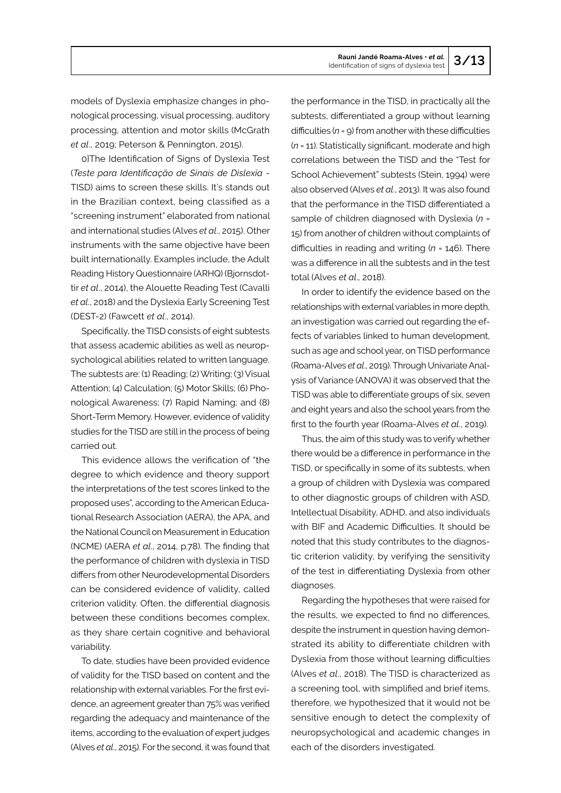models of Dyslexia emphasize changes in phonological processing, visual processing, auditory processing, attention and motor skills (McGrath *et al*., 2019; Peterson & Pennington, 2015).

0}The Identification of Signs of Dyslexia Test (*Teste para Identificação de Sinais de Dislexia* - TISD) aims to screen these skills. It's stands out in the Brazilian context, being classified as a "screening instrument" elaborated from national and international studies (Alves *et al*., 2015). Other instruments with the same objective have been built internationally. Examples include, the Adult Reading History Questionnaire (ARHQ) (Bjornsdottir *et al*., 2014), the Alouette Reading Test (Cavalli *et al*., 2018) and the Dyslexia Early Screening Test (DEST-2) (Fawcett *et al*., 2014).

Specifically, the TISD consists of eight subtests that assess academic abilities as well as neuropsychological abilities related to written language. The subtests are: (1) Reading; (2) Writing; (3) Visual Attention; (4) Calculation; (5) Motor Skills; (6) Phonological Awareness; (7) Rapid Naming; and (8) Short-Term Memory. However, evidence of validity studies for the TISD are still in the process of being carried out.

This evidence allows the verification of "the degree to which evidence and theory support the interpretations of the test scores linked to the proposed uses", according to the American Educational Research Association (AERA), the APA, and the National Council on Measurement in Education (NCME) (AERA *et al*., 2014, p.78). The finding that the performance of children with dyslexia in TISD differs from other Neurodevelopmental Disorders can be considered evidence of validity, called criterion validity. Often, the differential diagnosis between these conditions becomes complex, as they share certain cognitive and behavioral variability.

To date, studies have been provided evidence of validity for the TISD based on content and the relationship with external variables. For the first evidence, an agreement greater than 75% was verified regarding the adequacy and maintenance of the items, according to the evaluation of expert judges (Alves *et al*., 2015). For the second, it was found that the performance in the TISD, in practically all the subtests, differentiated a group without learning difficulties (*n* = 9) from another with these difficulties (*n* = 11). Statistically significant, moderate and high correlations between the TISD and the "Test for School Achievement" subtests (Stein, 1994) were also observed (Alves *et al*., 2013). It was also found that the performance in the TISD differentiated a sample of children diagnosed with Dyslexia (*n* = 15) from another of children without complaints of difficulties in reading and writing (*n* = 146). There was a difference in all the subtests and in the test total (Alves *et al*., 2018).

In order to identify the evidence based on the relationships with external variables in more depth, an investigation was carried out regarding the effects of variables linked to human development, such as age and school year, on TISD performance (Roama-Alves *et al*., 2019). Through Univariate Analysis of Variance (ANOVA) it was observed that the TISD was able to differentiate groups of six, seven and eight years and also the school years from the first to the fourth year (Roama-Alves *et al*., 2019).

Thus, the aim of this study was to verify whether there would be a difference in performance in the TISD, or specifically in some of its subtests, when a group of children with Dyslexia was compared to other diagnostic groups of children with ASD, Intellectual Disability, ADHD, and also individuals with BIF and Academic Difficulties. It should be noted that this study contributes to the diagnostic criterion validity, by verifying the sensitivity of the test in differentiating Dyslexia from other diagnoses.

Regarding the hypotheses that were raised for the results, we expected to find no differences, despite the instrument in question having demonstrated its ability to differentiate children with Dyslexia from those without learning difficulties (Alves *et al*., 2018). The TISD is characterized as a screening tool, with simplified and brief items, therefore, we hypothesized that it would not be sensitive enough to detect the complexity of neuropsychological and academic changes in each of the disorders investigated.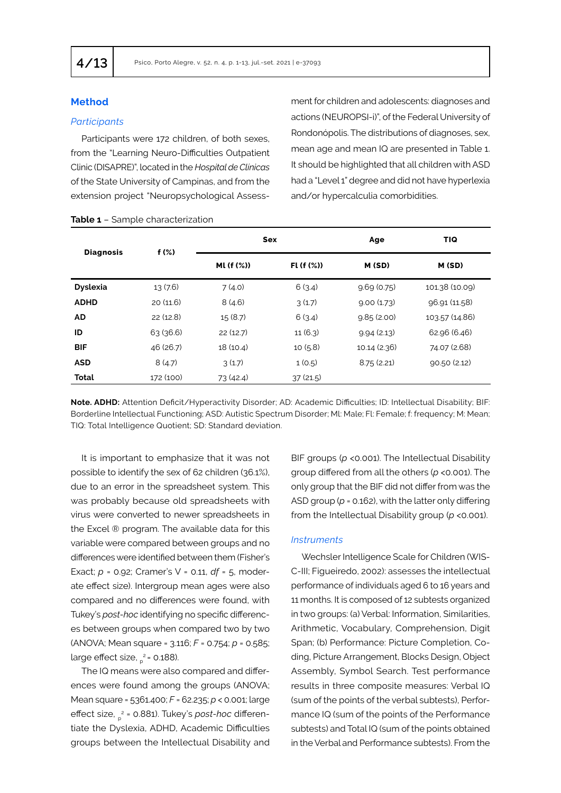# **Method**

### *Participants*

Participants were 172 children, of both sexes, from the "Learning Neuro-Difficulties Outpatient Clinic (DISAPRE)", located in the *Hospital de Clínicas* of the State University of Campinas, and from the extension project "Neuropsychological Assess-

ment for children and adolescents: diagnoses and actions (NEUROPSI-i)", of the Federal University of Rondonópolis. The distributions of diagnoses, sex, mean age and mean IQ are presented in Table 1. It should be highlighted that all children with ASD had a "Level 1" degree and did not have hyperlexia and/or hypercalculia comorbidities.

| <b>Diagnosis</b> | $f(\%)$   |                      | <b>Sex</b>  | Age          | <b>TIQ</b>     |  |
|------------------|-----------|----------------------|-------------|--------------|----------------|--|
|                  |           | ML (f (%))           | $FL(f(\%))$ | M (SD)       | M(SD)          |  |
| <b>Dyslexia</b>  | 13(7.6)   | 7(4.0)               | 6(3.4)      | 9.69(0.75)   | 101.38 (10.09) |  |
| <b>ADHD</b>      | 20(11.6)  | 8(4.6)               | 3(1.7)      | 9.00(1.73)   | 96.91 (11.58)  |  |
| <b>AD</b>        | 22(12.8)  | 15(8.7)              | 6(3.4)      | 9.85(2.00)   | 103.57 (14.86) |  |
| ID               | 63(36.6)  | 22(12.7)             | 11(6.3)     | 9.94(2.13)   | 62.96 (6.46)   |  |
| <b>BIF</b>       | 46 (26.7) | 18 (10.4)            | 10(5.8)     | 10.14 (2.36) | 74.07 (2.68)   |  |
| <b>ASD</b>       | 8(4.7)    | 3(1.7)               | 1(0.5)      | 8.75(2.21)   | 90.50(2.12)    |  |
| <b>Total</b>     | 172 (100) | 73(42.4)<br>37(21.5) |             |              |                |  |
|                  |           |                      |             |              |                |  |

**Note. ADHD:** Attention Deficit/Hyperactivity Disorder; AD: Academic Difficulties; ID: Intellectual Disability; BIF: Borderline Intellectual Functioning; ASD: Autistic Spectrum Disorder; Ml: Male; Fl: Female; f: frequency; M: Mean; TIQ: Total Intelligence Quotient; SD: Standard deviation.

It is important to emphasize that it was not possible to identify the sex of 62 children (36.1%), due to an error in the spreadsheet system. This was probably because old spreadsheets with virus were converted to newer spreadsheets in the Excel ® program. The available data for this variable were compared between groups and no differences were identified between them (Fisher's Exact; *p* = 0.92; Cramer's V = 0.11, *df* = 5, moderate effect size). Intergroup mean ages were also compared and no differences were found, with Tukey's *post-hoc* identifying no specific differences between groups when compared two by two (ANOVA; Mean square = 3.116; *F* = 0.754; *p* = 0.585; large effect size, <sub>p</sub><sup>2</sup>= 0.188).

The IQ means were also compared and differences were found among the groups (ANOVA; Mean square = 5361.400; *F* = 62.235; *p* < 0.001; large effect size, ƞ<sup>p</sup> 2 = 0.881). Tukey's *post-hoc* differentiate the Dyslexia, ADHD, Academic Difficulties groups between the Intellectual Disability and

BIF groups (*p* <0.001). The Intellectual Disability group differed from all the others (*p* <0.001). The only group that the BIF did not differ from was the ASD group ( $p = 0.162$ ), with the latter only differing from the Intellectual Disability group (*p* <0.001).

#### *Instruments*

Wechsler Intelligence Scale for Children (WIS-C-III; Figueiredo, 2002): assesses the intellectual performance of individuals aged 6 to 16 years and 11 months. It is composed of 12 subtests organized in two groups: (a) Verbal: Information, Similarities, Arithmetic, Vocabulary, Comprehension, Digit Span; (b) Performance: Picture Completion, Coding, Picture Arrangement, Blocks Design, Object Assembly, Symbol Search. Test performance results in three composite measures: Verbal IQ (sum of the points of the verbal subtests), Performance IQ (sum of the points of the Performance subtests) and Total IQ (sum of the points obtained in the Verbal and Performance subtests). From the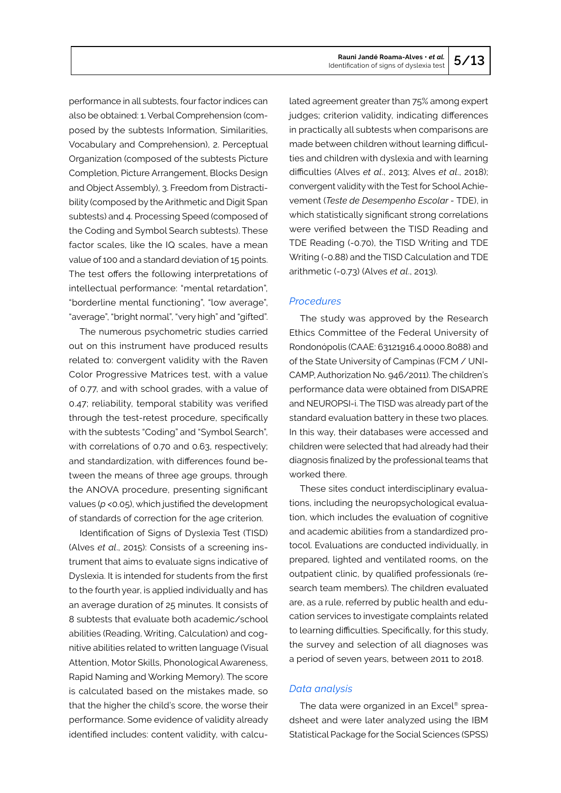performance in all subtests, four factor indices can also be obtained: 1. Verbal Comprehension (composed by the subtests Information, Similarities, Vocabulary and Comprehension), 2. Perceptual Organization (composed of the subtests Picture Completion, Picture Arrangement, Blocks Design and Object Assembly), 3. Freedom from Distractibility (composed by the Arithmetic and Digit Span subtests) and 4. Processing Speed (composed of the Coding and Symbol Search subtests). These factor scales, like the IQ scales, have a mean value of 100 and a standard deviation of 15 points. The test offers the following interpretations of intellectual performance: "mental retardation", "borderline mental functioning", "low average", "average", "bright normal", "very high" and "gifted".

The numerous psychometric studies carried out on this instrument have produced results related to: convergent validity with the Raven Color Progressive Matrices test, with a value of 0.77, and with school grades, with a value of 0.47; reliability, temporal stability was verified through the test-retest procedure, specifically with the subtests "Coding" and "Symbol Search", with correlations of 0.70 and 0.63, respectively; and standardization, with differences found between the means of three age groups, through the ANOVA procedure, presenting significant values (*p* <0.05), which justified the development of standards of correction for the age criterion.

Identification of Signs of Dyslexia Test (TISD) (Alves *et al*., 2015): Consists of a screening instrument that aims to evaluate signs indicative of Dyslexia. It is intended for students from the first to the fourth year, is applied individually and has an average duration of 25 minutes. It consists of 8 subtests that evaluate both academic/school abilities (Reading, Writing, Calculation) and cognitive abilities related to written language (Visual Attention, Motor Skills, Phonological Awareness, Rapid Naming and Working Memory). The score is calculated based on the mistakes made, so that the higher the child's score, the worse their performance. Some evidence of validity already identified includes: content validity, with calcu-

lated agreement greater than 75% among expert judges; criterion validity, indicating differences in practically all subtests when comparisons are made between children without learning difficulties and children with dyslexia and with learning difficulties (Alves *et al*., 2013; Alves *et al*., 2018); convergent validity with the Test for School Achievement (*Teste de Desempenho Escolar -* TDE), in which statistically significant strong correlations were verified between the TISD Reading and TDE Reading (-0.70), the TISD Writing and TDE Writing (-0.88) and the TISD Calculation and TDE arithmetic (-0.73) (Alves *et al*., 2013).

## *Procedures*

The study was approved by the Research Ethics Committee of the Federal University of Rondonópolis (CAAE: 63121916.4.0000.8088) and of the State University of Campinas (FCM / UNI-CAMP, Authorization No. 946/2011). The children's performance data were obtained from DISAPRE and NEUROPSI-i. The TISD was already part of the standard evaluation battery in these two places. In this way, their databases were accessed and children were selected that had already had their diagnosis finalized by the professional teams that worked there.

These sites conduct interdisciplinary evaluations, including the neuropsychological evaluation, which includes the evaluation of cognitive and academic abilities from a standardized protocol. Evaluations are conducted individually, in prepared, lighted and ventilated rooms, on the outpatient clinic, by qualified professionals (research team members). The children evaluated are, as a rule, referred by public health and education services to investigate complaints related to learning difficulties. Specifically, for this study, the survey and selection of all diagnoses was a period of seven years, between 2011 to 2018.

## *Data analysis*

The data were organized in an Excel<sup>®</sup> spreadsheet and were later analyzed using the IBM Statistical Package for the Social Sciences (SPSS)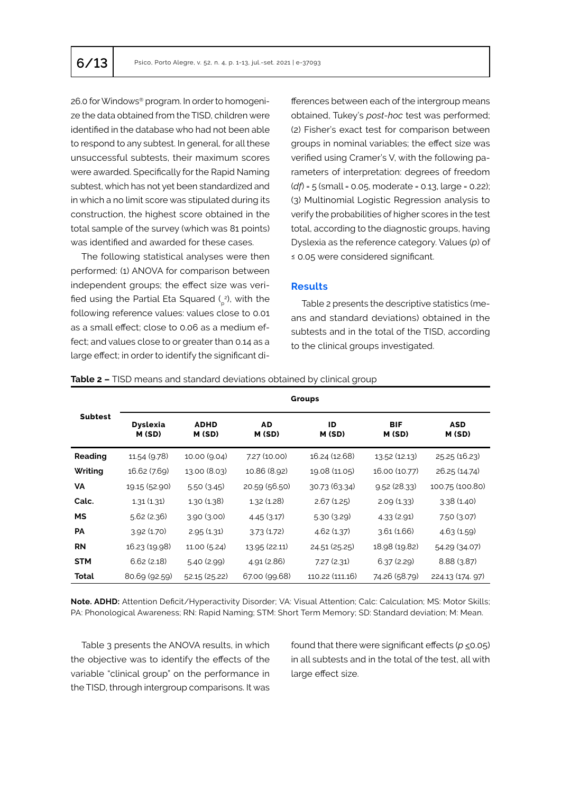26.0 for Windows® program. In order to homogenize the data obtained from the TISD, children were identified in the database who had not been able to respond to any subtest. In general, for all these unsuccessful subtests, their maximum scores were awarded. Specifically for the Rapid Naming subtest, which has not yet been standardized and in which a no limit score was stipulated during its construction, the highest score obtained in the total sample of the survey (which was 81 points) was identified and awarded for these cases.

The following statistical analyses were then performed: (1) ANOVA for comparison between independent groups; the effect size was verified using the Partial Eta Squared ( $\frac{2}{p}$ ?), with the following reference values: values close to 0.01 as a small effect; close to 0.06 as a medium effect; and values close to or greater than 0.14 as a large effect; in order to identify the significant di-

fferences between each of the intergroup means obtained, Tukey's *post-hoc* test was performed; (2) Fisher's exact test for comparison between groups in nominal variables; the effect size was verified using Cramer's V, with the following parameters of interpretation: degrees of freedom (*df*) = 5 (small = 0.05, moderate = 0.13, large = 0.22); (3) Multinomial Logistic Regression analysis to verify the probabilities of higher scores in the test total, according to the diagnostic groups, having Dyslexia as the reference category. Values (*p*) of ≤ 0.05 were considered significant.

# **Results**

Table 2 presents the descriptive statistics (means and standard deviations) obtained in the subtests and in the total of the TISD, according to the clinical groups investigated.

| <b>Table 2 -</b> TISD means and standard deviations obtained by clinical group |  |
|--------------------------------------------------------------------------------|--|
|--------------------------------------------------------------------------------|--|

|                | <b>Groups</b>             |                       |                     |                 |                     |                      |  |  |  |
|----------------|---------------------------|-----------------------|---------------------|-----------------|---------------------|----------------------|--|--|--|
| <b>Subtest</b> | <b>Dyslexia</b><br>M (SD) | <b>ADHD</b><br>M (SD) | <b>AD</b><br>M (SD) | ID<br>M (SD)    | <b>BIF</b><br>M(SD) | <b>ASD</b><br>M (SD) |  |  |  |
| Reading        | 11.54 (9.78)              | 10.00 (9.04)          | 7.27 (10.00)        | 16.24 (12.68)   | 13.52 (12.13)       | 25.25 (16.23)        |  |  |  |
| Writing        | 16.62 (7.69)              | 13.00 (8.03)          | 10.86 (8.92)        | 19.08 (11.05)   | 16.00 (10.77)       | 26.25 (14.74)        |  |  |  |
| <b>VA</b>      | 19.15 (52.90)             | 5.50(3.45)            | 20.59 (56.50)       | 30.73 (63.34)   | 9.52(28.33)         | 100.75 (100.80)      |  |  |  |
| Calc.          | 1.31(1.31)                | 1.30(1.38)            | 1.32(1.28)          | 2.67(1.25)      | 2.09(1.33)          | 3.38(1.40)           |  |  |  |
| <b>MS</b>      | 5.62(2.36)                | 3.90 (3.00)           | 4.45(3.17)          | 5.30(3.29)      | 4.33 (2.91)         | 7.50(3.07)           |  |  |  |
| <b>PA</b>      | 3.92(1.70)                | 2.95(1.31)            | 3.73(1.72)          | 4.62(1.37)      | 3.61(1.66)          | 4.63(1.59)           |  |  |  |
| <b>RN</b>      | 16.23 (19.98)             | 11.00 (5.24)          | 13.95 (22.11)       | 24.51 (25.25)   | 18.98 (19.82)       | 54.29 (34.07)        |  |  |  |
| <b>STM</b>     | 6.62(2.18)                | 5.40 (2.99)           | 4.91 (2.86)         | 7.27(2.31)      | 6.37(2.29)          | 8.88(3.87)           |  |  |  |
| Total          | 80.69 (92.59)             | 52.15 (25.22)         | 67.00 (99.68)       | 110.22 (111.16) | 74.26 (58.79)       | 224.13 (174. 97)     |  |  |  |

**Note. ADHD:** Attention Deficit/Hyperactivity Disorder; VA: Visual Attention; Calc: Calculation; MS: Motor Skills; PA: Phonological Awareness; RN: Rapid Naming; STM: Short Term Memory; SD: Standard deviation; M: Mean.

Table 3 presents the ANOVA results, in which the objective was to identify the effects of the variable "clinical group" on the performance in the TISD, through intergroup comparisons. It was found that there were significant effects (*p* <0.05) in all subtests and in the total of the test, all with large effect size.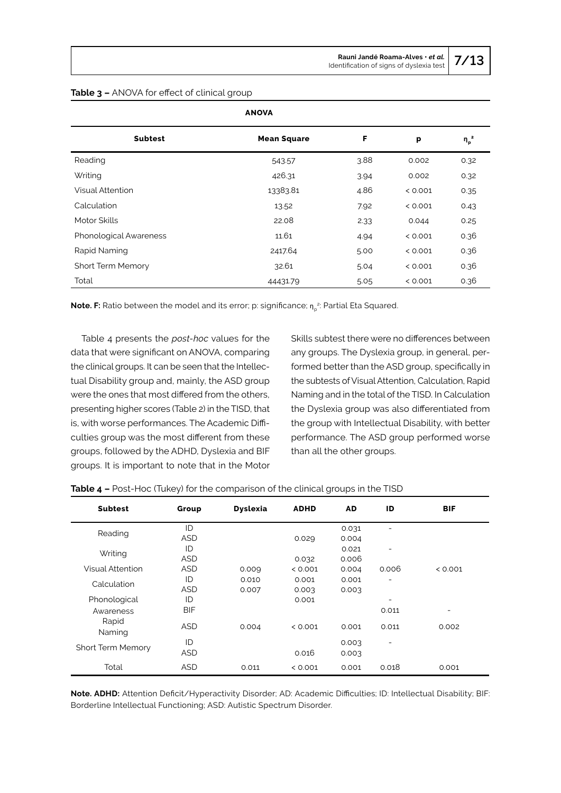| <b>Subtest</b>           | <b>Mean Square</b> | F    | p       | $\eta_p^2$ |
|--------------------------|--------------------|------|---------|------------|
| Reading                  | 543.57             | 3.88 | 0.002   | 0.32       |
| Writing                  | 426.31             | 3.94 | 0.002   | 0.32       |
| <b>Visual Attention</b>  | 13383.81           | 4.86 | < 0.001 | 0.35       |
| Calculation              | 13.52              | 7.92 | < 0.001 | 0.43       |
| Motor Skills             | 22.08              | 2.33 | 0.044   | 0.25       |
| Phonological Awareness   | 11.61              | 4.94 | < 0.001 | 0.36       |
| Rapid Naming             | 2417.64            | 5.00 | < 0.001 | 0.36       |
| <b>Short Term Memory</b> | 32.61              | 5.04 | < 0.001 | 0.36       |
| Total                    | 44431.79           | 5.05 | < 0.001 | 0.36       |

## **Table 3 –** ANOVA for effect of clinical group

**Note. F:** Ratio between the model and its error; p: significance; n<sub>p</sub>.2: Partial Eta Squared.

Table 4 presents the *post-hoc* values for the data that were significant on ANOVA, comparing the clinical groups. It can be seen that the Intellectual Disability group and, mainly, the ASD group were the ones that most differed from the others, presenting higher scores (Table 2) in the TISD, that is, with worse performances. The Academic Difficulties group was the most different from these groups, followed by the ADHD, Dyslexia and BIF groups. It is important to note that in the Motor Skills subtest there were no differences between any groups. The Dyslexia group, in general, performed better than the ASD group, specifically in the subtests of Visual Attention, Calculation, Rapid Naming and in the total of the TISD. In Calculation the Dyslexia group was also differentiated from the group with Intellectual Disability, with better performance. The ASD group performed worse than all the other groups.

| <b>Subtest</b>          | Group      | <b>Dyslexia</b> | <b>ADHD</b> | AD.   | ID    | <b>BIF</b> |
|-------------------------|------------|-----------------|-------------|-------|-------|------------|
| Reading                 | ID         |                 |             | 0.031 |       |            |
|                         | <b>ASD</b> |                 | 0.029       | 0.004 |       |            |
| Writing                 | ID         |                 |             | 0.021 |       |            |
|                         | <b>ASD</b> |                 | 0.032       | 0.006 |       |            |
| <b>Visual Attention</b> | <b>ASD</b> | 0.009           | < 0.001     | 0.004 | 0.006 | < 0.001    |
| Calculation             | ID         | 0.010           | 0.001       | 0.001 |       |            |
|                         | <b>ASD</b> | 0.007           | 0.003       | 0.003 |       |            |
| Phonological            | ID         |                 | 0.001       |       |       |            |
| Awareness               | <b>BIF</b> |                 |             |       | 0.011 |            |
| Rapid<br>Naming         | <b>ASD</b> | 0.004           | < 0.001     | 0.001 | 0.011 | 0.002      |
|                         | ID         |                 |             | 0.003 | ۳     |            |
| Short Term Memory       | <b>ASD</b> |                 | 0.016       | 0.003 |       |            |
| Total                   | <b>ASD</b> | 0.011           | < 0.001     | 0.001 | 0.018 | 0.001      |

**Table 4 –** Post-Hoc (Tukey) for the comparison of the clinical groups in the TISD

**Note. ADHD:** Attention Deficit/Hyperactivity Disorder; AD: Academic Difficulties; ID: Intellectual Disability; BIF: Borderline Intellectual Functioning; ASD: Autistic Spectrum Disorder.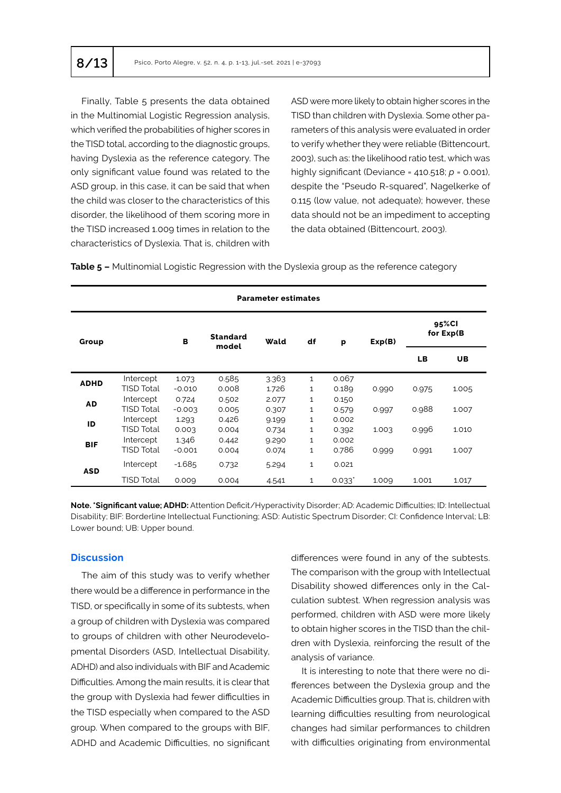Finally, Table 5 presents the data obtained in the Multinomial Logistic Regression analysis, which verified the probabilities of higher scores in the TISD total, according to the diagnostic groups, having Dyslexia as the reference category. The only significant value found was related to the ASD group, in this case, it can be said that when the child was closer to the characteristics of this disorder, the likelihood of them scoring more in the TISD increased 1.009 times in relation to the characteristics of Dyslexia. That is, children with ASD were more likely to obtain higher scores in the TISD than children with Dyslexia. Some other parameters of this analysis were evaluated in order to verify whether they were reliable (Bittencourt, 2003), such as: the likelihood ratio test, which was highly significant (Deviance = 410.518; *p* = 0.001), despite the "Pseudo R-squared", Nagelkerke of 0.115 (low value, not adequate); however, these data should not be an impediment to accepting the data obtained (Bittencourt, 2003).

**Table 5 –** Multinomial Logistic Regression with the Dyslexia group as the reference category

| <b>Parameter estimates</b> |                   |          |                          |       |              |                      |        |                     |           |
|----------------------------|-------------------|----------|--------------------------|-------|--------------|----------------------|--------|---------------------|-----------|
| Group                      |                   | B        | <b>Standard</b><br>model | Wald  | df           | p                    | Exp(B) | 95%Cl<br>for Exp(B) |           |
|                            |                   |          |                          |       |              |                      |        | <b>LB</b>           | <b>UB</b> |
| <b>ADHD</b>                | Intercept         | 1.073    | 0.585                    | 3.363 | $\mathbf{1}$ | 0.067                |        |                     |           |
|                            | <b>TISD Total</b> | $-0.010$ | 0.008                    | 1.726 | $\mathbf{1}$ | 0.189                | 0.990  | 0.975               | 1.005     |
| <b>AD</b>                  | Intercept         | 0.724    | 0.502                    | 2.077 | $\mathbf{1}$ | 0.150                |        |                     |           |
|                            | <b>TISD Total</b> | $-0.003$ | 0.005                    | 0.307 | 1            | 0.579                | 0.997  | 0.988               | 1.007     |
| ID                         | Intercept         | 1.293    | 0.426                    | 9.199 | $\mathbf{1}$ | 0.002                |        |                     |           |
|                            | <b>TISD Total</b> | 0.003    | 0.004                    | 0.734 | 1            | 0.392                | 1.003  | 0.996               | 1.010     |
| <b>BIF</b>                 | Intercept         | 1.346    | 0.442                    | 9.290 | $\mathbf{1}$ | 0.002                |        |                     |           |
|                            | <b>TISD Total</b> | $-0.001$ | 0.004                    | 0.074 | 1            | 0.786                | 0.999  | 0.991               | 1.007     |
| <b>ASD</b>                 | Intercept         | $-1.685$ | 0.732                    | 5.294 | $\mathbf{1}$ | 0.021                |        |                     |           |
|                            | <b>TISD Total</b> | 0.009    | 0.004                    | 4.541 | 1            | $0.033$ <sup>*</sup> | 1.009  | 1.001               | 1.017     |

**Note. \*Significant value; ADHD:** Attention Deficit/Hyperactivity Disorder; AD: Academic Difficulties; ID: Intellectual Disability; BIF: Borderline Intellectual Functioning; ASD: Autistic Spectrum Disorder; CI: Confidence Interval; LB: Lower bound; UB: Upper bound.

#### **Discussion**

The aim of this study was to verify whether there would be a difference in performance in the TISD, or specifically in some of its subtests, when a group of children with Dyslexia was compared to groups of children with other Neurodevelopmental Disorders (ASD, Intellectual Disability, ADHD) and also individuals with BIF and Academic Difficulties. Among the main results, it is clear that the group with Dyslexia had fewer difficulties in the TISD especially when compared to the ASD group. When compared to the groups with BIF, ADHD and Academic Difficulties, no significant differences were found in any of the subtests. The comparison with the group with Intellectual Disability showed differences only in the Calculation subtest. When regression analysis was performed, children with ASD were more likely to obtain higher scores in the TISD than the children with Dyslexia, reinforcing the result of the analysis of variance.

It is interesting to note that there were no differences between the Dyslexia group and the Academic Difficulties group. That is, children with learning difficulties resulting from neurological changes had similar performances to children with difficulties originating from environmental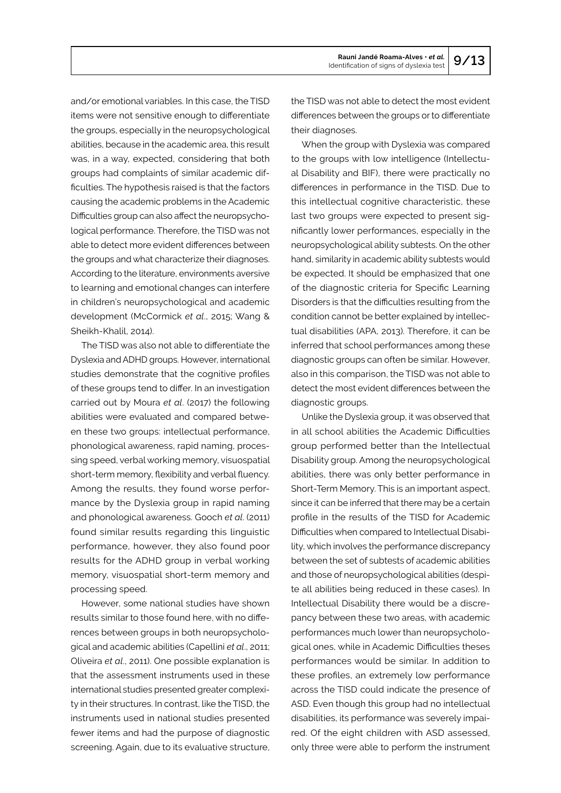and/or emotional variables. In this case, the TISD items were not sensitive enough to differentiate the groups, especially in the neuropsychological abilities, because in the academic area, this result was, in a way, expected, considering that both groups had complaints of similar academic difficulties. The hypothesis raised is that the factors causing the academic problems in the Academic Difficulties group can also affect the neuropsychological performance. Therefore, the TISD was not able to detect more evident differences between the groups and what characterize their diagnoses. According to the literature, environments aversive to learning and emotional changes can interfere in children's neuropsychological and academic development (McCormick *et al*., 2015; Wang & Sheikh-Khalil, 2014).

The TISD was also not able to differentiate the Dyslexia and ADHD groups. However, international studies demonstrate that the cognitive profiles of these groups tend to differ. In an investigation carried out by Moura *et al*. (2017) the following abilities were evaluated and compared between these two groups: intellectual performance, phonological awareness, rapid naming, processing speed, verbal working memory, visuospatial short-term memory, flexibility and verbal fluency. Among the results, they found worse performance by the Dyslexia group in rapid naming and phonological awareness. Gooch *et al*. (2011) found similar results regarding this linguistic performance, however, they also found poor results for the ADHD group in verbal working memory, visuospatial short-term memory and processing speed.

However, some national studies have shown results similar to those found here, with no differences between groups in both neuropsychological and academic abilities (Capellini *et al*., 2011; Oliveira *et al*., 2011). One possible explanation is that the assessment instruments used in these international studies presented greater complexity in their structures. In contrast, like the TISD, the instruments used in national studies presented fewer items and had the purpose of diagnostic screening. Again, due to its evaluative structure,

the TISD was not able to detect the most evident differences between the groups or to differentiate their diagnoses.

When the group with Dyslexia was compared to the groups with low intelligence (Intellectual Disability and BIF), there were practically no differences in performance in the TISD. Due to this intellectual cognitive characteristic, these last two groups were expected to present significantly lower performances, especially in the neuropsychological ability subtests. On the other hand, similarity in academic ability subtests would be expected. It should be emphasized that one of the diagnostic criteria for Specific Learning Disorders is that the difficulties resulting from the condition cannot be better explained by intellectual disabilities (APA, 2013). Therefore, it can be inferred that school performances among these diagnostic groups can often be similar. However, also in this comparison, the TISD was not able to detect the most evident differences between the diagnostic groups.

Unlike the Dyslexia group, it was observed that in all school abilities the Academic Difficulties group performed better than the Intellectual Disability group. Among the neuropsychological abilities, there was only better performance in Short-Term Memory. This is an important aspect, since it can be inferred that there may be a certain profile in the results of the TISD for Academic Difficulties when compared to Intellectual Disability, which involves the performance discrepancy between the set of subtests of academic abilities and those of neuropsychological abilities (despite all abilities being reduced in these cases). In Intellectual Disability there would be a discrepancy between these two areas, with academic performances much lower than neuropsychological ones, while in Academic Difficulties theses performances would be similar. In addition to these profiles, an extremely low performance across the TISD could indicate the presence of ASD. Even though this group had no intellectual disabilities, its performance was severely impaired. Of the eight children with ASD assessed, only three were able to perform the instrument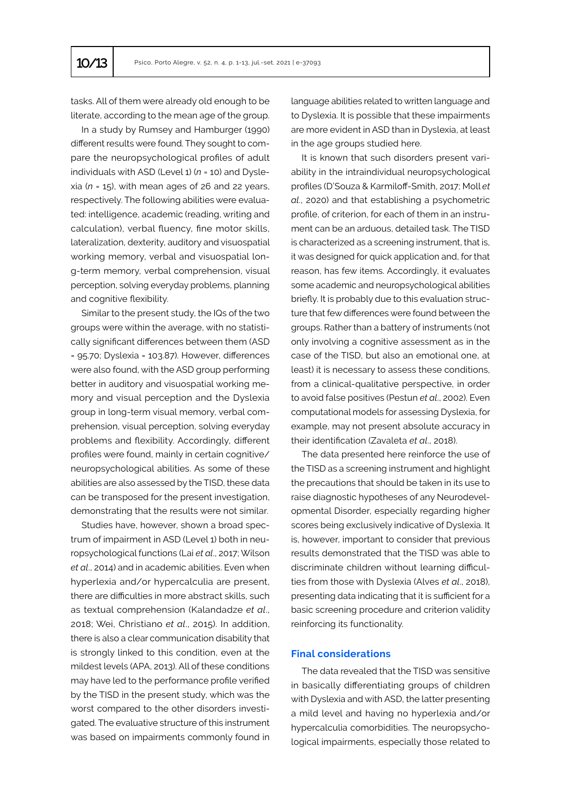tasks. All of them were already old enough to be literate, according to the mean age of the group.

In a study by Rumsey and Hamburger (1990) different results were found. They sought to compare the neuropsychological profiles of adult individuals with ASD (Level 1) (*n* = 10) and Dyslexia (*n* = 15), with mean ages of 26 and 22 years, respectively. The following abilities were evaluated: intelligence, academic (reading, writing and calculation), verbal fluency, fine motor skills, lateralization, dexterity, auditory and visuospatial working memory, verbal and visuospatial long-term memory, verbal comprehension, visual perception, solving everyday problems, planning and cognitive flexibility.

Similar to the present study, the IQs of the two groups were within the average, with no statistically significant differences between them (ASD = 95.70; Dyslexia = 103.87). However, differences were also found, with the ASD group performing better in auditory and visuospatial working memory and visual perception and the Dyslexia group in long-term visual memory, verbal comprehension, visual perception, solving everyday problems and flexibility. Accordingly, different profiles were found, mainly in certain cognitive/ neuropsychological abilities. As some of these abilities are also assessed by the TISD, these data can be transposed for the present investigation, demonstrating that the results were not similar.

Studies have, however, shown a broad spectrum of impairment in ASD (Level 1) both in neuropsychological functions (Lai *et al*., 2017; Wilson *et al*., 2014) and in academic abilities. Even when hyperlexia and/or hypercalculia are present, there are difficulties in more abstract skills, such as textual comprehension (Kalandadze *et al*., 2018; Wei, Christiano *et al*., 2015). In addition, there is also a clear communication disability that is strongly linked to this condition, even at the mildest levels (APA, 2013). All of these conditions may have led to the performance profile verified by the TISD in the present study, which was the worst compared to the other disorders investigated. The evaluative structure of this instrument was based on impairments commonly found in

language abilities related to written language and to Dyslexia. It is possible that these impairments are more evident in ASD than in Dyslexia, at least in the age groups studied here.

It is known that such disorders present variability in the intraindividual neuropsychological profiles (D'Souza & Karmiloff-Smith, 2017; Moll *et al*., 2020) and that establishing a psychometric profile, of criterion, for each of them in an instrument can be an arduous, detailed task. The TISD is characterized as a screening instrument, that is, it was designed for quick application and, for that reason, has few items. Accordingly, it evaluates some academic and neuropsychological abilities briefly. It is probably due to this evaluation structure that few differences were found between the groups. Rather than a battery of instruments (not only involving a cognitive assessment as in the case of the TISD, but also an emotional one, at least) it is necessary to assess these conditions, from a clinical-qualitative perspective, in order to avoid false positives (Pestun *et al*., 2002). Even computational models for assessing Dyslexia, for example, may not present absolute accuracy in their identification (Zavaleta *et al*., 2018).

The data presented here reinforce the use of the TISD as a screening instrument and highlight the precautions that should be taken in its use to raise diagnostic hypotheses of any Neurodevelopmental Disorder, especially regarding higher scores being exclusively indicative of Dyslexia. It is, however, important to consider that previous results demonstrated that the TISD was able to discriminate children without learning difficulties from those with Dyslexia (Alves *et al*., 2018), presenting data indicating that it is sufficient for a basic screening procedure and criterion validity reinforcing its functionality.

# **Final considerations**

The data revealed that the TISD was sensitive in basically differentiating groups of children with Dyslexia and with ASD, the latter presenting a mild level and having no hyperlexia and/or hypercalculia comorbidities. The neuropsychological impairments, especially those related to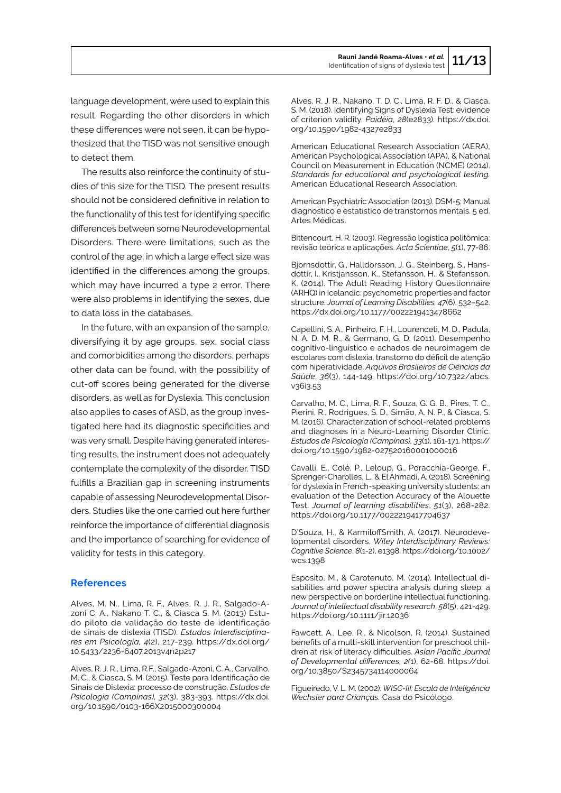language development, were used to explain this result. Regarding the other disorders in which these differences were not seen, it can be hypothesized that the TISD was not sensitive enough to detect them.

The results also reinforce the continuity of studies of this size for the TISD. The present results should not be considered definitive in relation to the functionality of this test for identifying specific differences between some Neurodevelopmental Disorders. There were limitations, such as the control of the age, in which a large effect size was identified in the differences among the groups, which may have incurred a type 2 error. There were also problems in identifying the sexes, due to data loss in the databases.

In the future, with an expansion of the sample, diversifying it by age groups, sex, social class and comorbidities among the disorders, perhaps other data can be found, with the possibility of cut-off scores being generated for the diverse disorders, as well as for Dyslexia. This conclusion also applies to cases of ASD, as the group investigated here had its diagnostic specificities and was very small. Despite having generated interesting results, the instrument does not adequately contemplate the complexity of the disorder. TISD fulfills a Brazilian gap in screening instruments capable of assessing Neurodevelopmental Disorders. Studies like the one carried out here further reinforce the importance of differential diagnosis and the importance of searching for evidence of validity for tests in this category.

## **References**

Alves, M. N., Lima, R. F., Alves, R. J. R., Salgado-Azoni C. A., Nakano T. C., & Ciasca S. M. (2013) Estudo piloto de validação do teste de identificação de sinais de dislexia (TISD). *Estudos Interdisciplinares em Psicologia, 4*(2), 217-239. https://dx.doi.org/ 10.5433/2236-6407.2013v4n2p217

Alves, R. J. R., Lima, R.F., Salgado-Azoni, C. A., Carvalho, M. C., & Ciasca, S. M. (2015). Teste para Identificação de Sinais de Dislexia: processo de construção. *Estudos de Psicologia (Campinas), 32*(3), 383-393. https://dx.doi. org/10.1590/0103-166X2015000300004

Alves, R. J. R., Nakano, T. D. C., Lima, R. F. D., & Ciasca, S. M. (2018). Identifying Signs of Dyslexia Test: evidence of criterion validity. *Paidéia*, *28*(e2833). https://dx.doi. org/10.1590/1982-4327e2833

American Educational Research Association (AERA), American Psychological Association (APA), & National Council on Measurement in Education (NCME) (2014). *Standards for educational and psychological testing.* American Educational Research Association.

American Psychiatric Association (2013). DSM-5: Manual diagnostico e estatístico de transtornos mentais. 5 ed. Artes Médicas.

Bittencourt, H. R. (2003). Regressão logística politômica: revisão teórica e aplicações. *Acta Scientiae*, *5*(1), 77-86.

Bjornsdottir, G., Halldorsson, J. G., Steinberg, S., Hansdottir, I., Kristjansson, K., Stefansson, H., & Stefansson, K. (2014). The Adult Reading History Questionnaire (ARHQ) in Icelandic: psychometric properties and factor structure. *Journal of Learning Disabilities, 47*(6), 532–542. https://dx.doi.org/10.1177/0022219413478662

Capellini, S. A., Pinheiro, F. H., Lourenceti, M. D., Padula, N. A. D. M. R., & Germano, G. D. (2011). Desempenho cognitivo-linguístico e achados de neuroimagem de escolares com dislexia, transtorno do déficit de atenção com hiperatividade. *Arquivos Brasileiros de Ciências da Saúde*, *36*(3), 144-149. https://doi.org/10.7322/abcs. v36i3.53

Carvalho, M. C., Lima, R. F., Souza, G. G. B., Pires, T. C., Pierini, R., Rodrigues, S. D., Simão, A. N. P., & Ciasca, S. M. (2016). Characterization of school-related problems and diagnoses in a Neuro-Learning Disorder Clinic. *Estudos de Psicologia (Campinas), 33*(1), 161-171. https:// doi.org/10.1590/1982-027520160001000016

Cavalli, E., Colé, P., Leloup, G., Poracchia-George, F., Sprenger-Charolles, L., & El Ahmadi, A. (2018). Screening for dyslexia in French-speaking university students: an evaluation of the Detection Accuracy of the Alouette Test. *Journal of learning disabilities*, *51*(3), 268-282. https://doi.org/10.1177/0022219417704637

D'Souza, H., & KarmiloffSmith, A. (2017). Neurodevelopmental disorders. *Wiley Interdisciplinary Reviews: Cognitive Science*, *8*(1-2), e1398. https://doi.org/10.1002/ wcs.1398

Esposito, M., & Carotenuto, M. (2014). Intellectual disabilities and power spectra analysis during sleep: a new perspective on borderline intellectual functioning. *Journal of intellectual disability research*, *58*(5), 421-429. https://doi.org/10.1111/jir.12036

Fawcett, A., Lee, R., & Nicolson, R. (2014). Sustained benefits of a multi-skill intervention for preschool children at risk of literacy difficulties. *Asian Pacific Journal of Developmental differences, 2(*1), 62-68. https://doi. org/10.3850/S2345734114000064

Figueiredo, V. L. M. (2002). *WISC-III: Escala de Inteligência Wechsler para Crianças.* Casa do Psicólogo.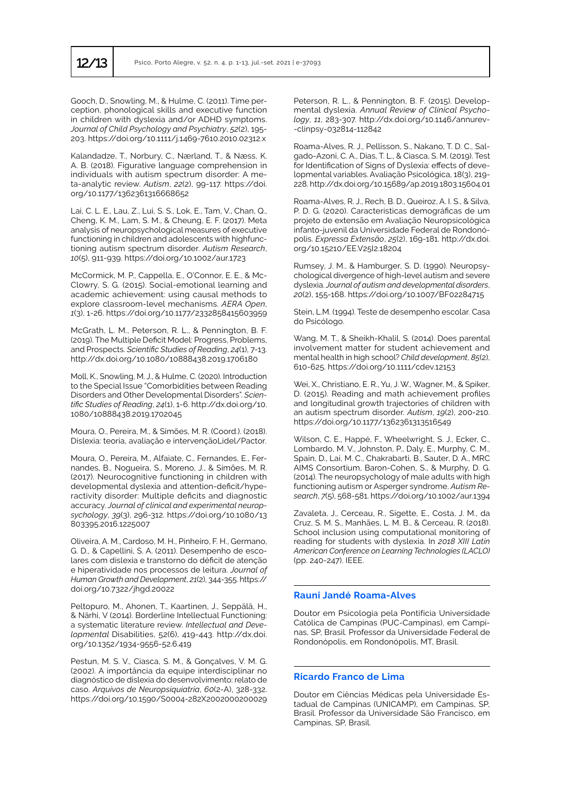Gooch, D., Snowling, M., & Hulme, C. (2011). Time perception, phonological skills and executive function in children with dyslexia and/or ADHD symptoms. *Journal of Child Psychology and Psychiatry*, *52*(2), 195- 203. https://doi.org/10.1111/j.1469-7610.2010.02312.x

Kalandadze, T., Norbury, C., Nærland, T., & Næss, K. A. B. (2018). Figurative language comprehension in individuals with autism spectrum disorder: A meta-analytic review. *Autism*, *22*(2), 99-117. https://doi. org/10.1177/1362361316668652

Lai, C. L. E., Lau, Z., Lui, S. S., Lok, E., Tam, V., Chan, Q., Cheng, K. M., Lam, S. M., & Cheung, E. F. (2017). Meta analysis of neuropsychological measures of executive functioning in children and adolescents with highfunctioning autism spectrum disorder. *Autism Research*, *10*(5), 911-939. https://doi.org/10.1002/aur.1723

McCormick, M. P., Cappella, E., O'Connor, E. E., & Mc-Clowry, S. G. (2015). Social-emotional learning and academic achievement: using causal methods to explore classroom-level mechanisms. *AERA Open*, *1*(3), 1-26. https://doi.org/10.1177/2332858415603959

McGrath, L. M., Peterson, R. L., & Pennington, B. F. (2019). The Multiple Deficit Model: Progress, Problems, and Prospects. *Scientific Studies of Reading*, *24*(1), 7-13. http://dx.doi.org/10.1080/10888438.2019.1706180

Moll, K., Snowling, M. J., & Hulme, C. (2020). Introduction to the Special Issue "Comorbidities between Reading Disorders and Other Developmental Disorders". *Scientific Studies of Reading*, *24*(1), 1-6. http://dx.doi.org/10. 1080/10888438.2019.1702045

Moura, O., Pereira, M., & Simões, M. R. (Coord.). (2018). Dislexia: teoria, avaliação e intervençãoLidel/Pactor.

Moura, O., Pereira, M., Alfaiate, C., Fernandes, E., Fernandes, B., Nogueira, S., Moreno, J., & Simões, M. R. (2017). Neurocognitive functioning in children with developmental dyslexia and attention-deficit/hyperactivity disorder: Multiple deficits and diagnostic accuracy. *Journal of clinical and experimental neuropsychology*, *39*(3), 296-312. https://doi.org/10.1080/13 803395.2016.1225007

Oliveira, A. M., Cardoso, M. H., Pinheiro, F. H., Germano, G. D., & Capellini, S. A. (2011). Desempenho de escolares com dislexia e transtorno do déficit de atenção e hiperatividade nos processos de leitura. *Journal of Human Growth and Development*, *21*(2), 344-355. https:// doi.org/10.7322/jhgd.20022

Peltopuro, M., Ahonen, T., Kaartinen, J., Seppälä, H., & Närhi, V (2014). Borderline Intellectual Functioning: a systematic literature review. *Intellectual and Developmental* Disabilities, 52(6), 419-443. http://dx.doi. org/10.1352/1934-9556-52.6.419

Pestun, M. S. V., Ciasca, S. M., & Gonçalves, V. M. G. (2002). A importância da equipe interdisciplinar no diagnóstico de dislexia do desenvolvimento: relato de caso. *Arquivos de Neuropsiquiatria*, *60*(2-A), 328-332. https://doi.org/10.1590/S0004-282X2002000200029 Peterson, R. L., & Pennington, B. F. (2015). Developmental dyslexia. *Annual Review of Clinical Psychology*, *11*, 283-307. http://dx.doi.org/10.1146/annurev- -clinpsy-032814-112842

Roama-Alves, R. J., Pellisson, S., Nakano, T. D. C., Salgado-Azoni, C. A., Dias, T. L., & Ciasca, S. M. (2019). Test for Identification of Signs of Dyslexia: effects of developmental variables. Avaliação Psicológica, 18(3), 219- 228. http://dx.doi.org/10.15689/ap.2019.1803.15604.01

Roama-Alves, R. J., Rech, B. D., Queiroz, A. I. S., & Silva, P. D. G. (2020). Características demográficas de um projeto de extensão em Avaliação Neuropsicológica infanto-juvenil da Universidade Federal de Rondonópolis. *Expressa Extensão*, *25*(2), 169-181. http://dx.doi. org/10.15210/EE.V25I2.18204

Rumsey, J. M., & Hamburger, S. D. (1990). Neuropsychological divergence of high-level autism and severe dyslexia. *Journal of autism and developmental disorders*, *20*(2), 155-168. https://doi.org/10.1007/BF02284715

Stein, L.M. (1994). Teste de desempenho escolar. Casa do Psicólogo.

Wang, M. T., & Sheikh-Khalil, S. (2014). Does parental involvement matter for student achievement and mental health in high school? *Child development*, *85*(2), 610-625. https://doi.org/10.1111/cdev.12153

Wei, X., Christiano, E. R., Yu, J. W., Wagner, M., & Spiker, D. (2015). Reading and math achievement profiles and longitudinal growth trajectories of children with an autism spectrum disorder. *Autism*, *19*(2), 200-210. https://doi.org/10.1177/1362361313516549

Wilson, C. E., Happé, F., Wheelwright, S. J., Ecker, C., Lombardo, M. V., Johnston, P., Daly, E., Murphy, C. M., Spain, D., Lai, M. C., Chakrabarti, B., Sauter, D. A., MRC AIMS Consortium, Baron-Cohen, S., & Murphy, D. G. (2014). The neuropsychology of male adults with high functioning autism or Asperger syndrome. *Autism Research*, *7*(5), 568-581. https://doi.org/10.1002/aur.1394

Zavaleta, J., Cerceau, R., Sigette, E., Costa, J. M., da Cruz, S. M. S., Manhães, L. M. B., & Cerceau, R. (2018). School inclusion using computational monitoring of reading for students with dyslexia. In *2018 XIII Latin American Conference on Learning Technologies (LACLO)* (pp. 240-247). IEEE.

#### **Rauni Jandé Roama-Alves**

Doutor em Psicologia pela Pontifícia Universidade Católica de Campinas (PUC-Campinas), em Campinas, SP, Brasil. Professor da Universidade Federal de Rondonópolis, em Rondonópolis, MT, Brasil.

#### **Ricardo Franco de Lima**

Doutor em Ciências Médicas pela Universidade Estadual de Campinas (UNICAMP), em Campinas, SP, Brasil. Professor da Universidade São Francisco, em Campinas, SP, Brasil.